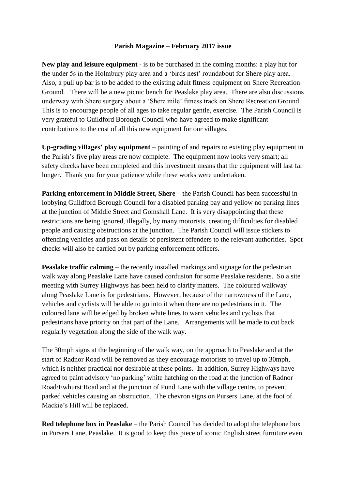## **Parish Magazine – February 2017 issue**

**New play and leisure equipment** - is to be purchased in the coming months: a play hut for the under 5s in the Holmbury play area and a 'birds nest' roundabout for Shere play area. Also, a pull up bar is to be added to the existing adult fitness equipment on Shere Recreation Ground. There will be a new picnic bench for Peaslake play area. There are also discussions underway with Shere surgery about a 'Shere mile' fitness track on Shere Recreation Ground. This is to encourage people of all ages to take regular gentle, exercise. The Parish Council is very grateful to Guildford Borough Council who have agreed to make significant contributions to the cost of all this new equipment for our villages.

**Up-grading villages' play equipment** – painting of and repairs to existing play equipment in the Parish's five play areas are now complete. The equipment now looks very smart; all safety checks have been completed and this investment means that the equipment will last far longer. Thank you for your patience while these works were undertaken.

**Parking enforcement in Middle Street, Shere** – the Parish Council has been successful in lobbying Guildford Borough Council for a disabled parking bay and yellow no parking lines at the junction of Middle Street and Gomshall Lane. It is very disappointing that these restrictions are being ignored, illegally, by many motorists, creating difficulties for disabled people and causing obstructions at the junction. The Parish Council will issue stickers to offending vehicles and pass on details of persistent offenders to the relevant authorities. Spot checks will also be carried out by parking enforcement officers.

**Peaslake traffic calming** – the recently installed markings and signage for the pedestrian walk way along Peaslake Lane have caused confusion for some Peaslake residents. So a site meeting with Surrey Highways has been held to clarify matters. The coloured walkway along Peaslake Lane is for pedestrians. However, because of the narrowness of the Lane, vehicles and cyclists will be able to go into it when there are no pedestrians in it. The coloured lane will be edged by broken white lines to warn vehicles and cyclists that pedestrians have priority on that part of the Lane. Arrangements will be made to cut back regularly vegetation along the side of the walk way.

The 30mph signs at the beginning of the walk way, on the approach to Peaslake and at the start of Radnor Road will be removed as they encourage motorists to travel up to 30mph, which is neither practical nor desirable at these points. In addition, Surrey Highways have agreed to paint advisory 'no parking' white hatching on the road at the junction of Radnor Road/Ewhurst Road and at the junction of Pond Lane with the village centre, to prevent parked vehicles causing an obstruction. The chevron signs on Pursers Lane, at the foot of Mackie's Hill will be replaced.

**Red telephone box in Peaslake** – the Parish Council has decided to adopt the telephone box in Pursers Lane, Peaslake. It is good to keep this piece of iconic English street furniture even